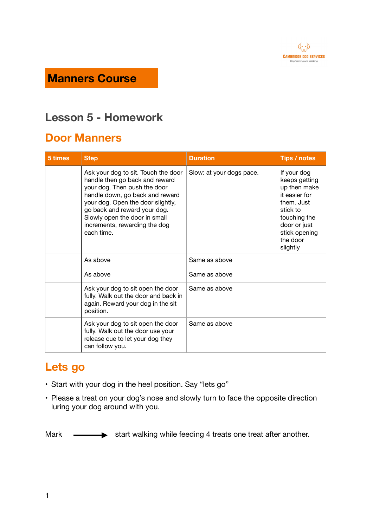

## **Manners Course**

## **Lesson 5 - Homework**

#### **Door Manners**

| 5 times | <b>Step</b>                                                                                                                                                                                                                                                                                   | <b>Duration</b>          | Tips / notes                                                                                                                                                     |
|---------|-----------------------------------------------------------------------------------------------------------------------------------------------------------------------------------------------------------------------------------------------------------------------------------------------|--------------------------|------------------------------------------------------------------------------------------------------------------------------------------------------------------|
|         | Ask your dog to sit. Touch the door<br>handle then go back and reward<br>your dog. Then push the door<br>handle down, go back and reward<br>your dog. Open the door slightly,<br>go back and reward your dog.<br>Slowly open the door in small<br>increments, rewarding the dog<br>each time. | Slow: at your dogs pace. | If your dog<br>keeps getting<br>up then make<br>it easier for<br>them. Just<br>stick to<br>touching the<br>door or just<br>stick opening<br>the door<br>slightly |
|         | As above                                                                                                                                                                                                                                                                                      | Same as above            |                                                                                                                                                                  |
|         | As above                                                                                                                                                                                                                                                                                      | Same as above            |                                                                                                                                                                  |
|         | Ask your dog to sit open the door<br>fully. Walk out the door and back in<br>again. Reward your dog in the sit<br>position.                                                                                                                                                                   | Same as above            |                                                                                                                                                                  |
|         | Ask your dog to sit open the door<br>fully. Walk out the door use your<br>release cue to let your dog they<br>can follow you.                                                                                                                                                                 | Same as above            |                                                                                                                                                                  |

### **Lets go**

- Start with your dog in the heel position. Say "lets go"
- Please a treat on your dog's nose and slowly turn to face the opposite direction luring your dog around with you.

Mark  $\longrightarrow$  start walking while feeding 4 treats one treat after another.